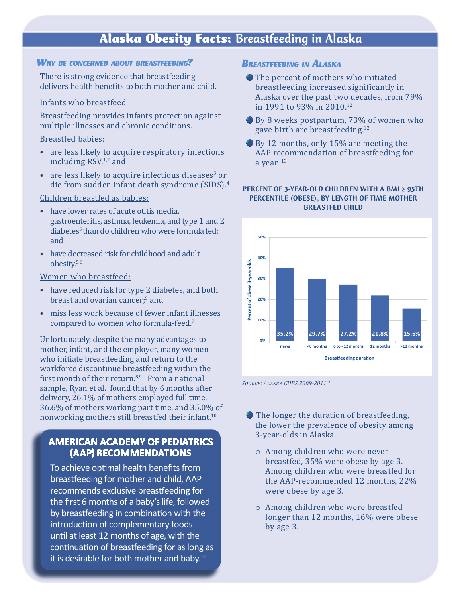# Alaska Obesity Facts: Breastfeeding in Alaska

## *Why be concerned about breastfeeding?*

There is strong evidence that breastfeeding delivers health benefits to both mother and child.

## Infants who breastfeed

Breastfeeding provides infants protection against multiple illnesses and chronic conditions.

## Breastfed babies:

- are less likely to acquire respiratory infections including  $RSV<sub>1,2</sub>$  and
- are less likely to acquire infectious diseases<sup>3</sup> or die from sudden infant death syndrome (SIDS).<sup>4</sup>

## Children breastfed as babies:

- have lower rates of acute otitis media. gastroenteritis, asthma, leukemia, and type 1 and 2 diabetes<sup>5</sup> than do children who were formula fed; and
- have decreased risk for childhood and adult obesity.5,6

#### Women who breastfeed:

- have reduced risk for type 2 diabetes, and both breast and ovarian cancer;<sup>5</sup> and
- miss less work because of fewer infant illnesses compared to women who formula-feed.<sup>7</sup>

Unfortunately, despite the many advantages to mother, infant, and the employer, many women who initiate breastfeeding and return to the workforce discontinue breastfeeding within the first month of their return. $8,9$  From a national sample, Ryan et al. found that by 6 months after delivery, 26.1% of mothers employed full time, 36.6% of mothers working part time, and 35.0% of nonworking mothers still breastfed their infant.<sup>10</sup>

## **AMERICAN ACADEMY OF PEDIATRICS (AAP) RECOMMENDATIONS**

To achieve optimal health benefits from breastfeeding for mother and child, AAP recommends exclusive breastfeeding for the first 6 months of a baby's life, followed by breastfeeding in combination with the introduction of complementary foods until at least 12 months of age, with the continuation of breastfeeding for as long as it is desirable for both mother and baby. $11$ 

## **BREASTEEEDING IN ALASKA**

- The percent of mothers who initiated breastfeeding increased significantly in Alaska over the past two decades, from 79% in 1991 to 93% in 2010.12
- By 8 weeks postpartum, 73% of women who gave birth are breastfeeding.<sup>12</sup>
- By 12 months, only 15% are meeting the AAP recommendation of breastfeeding for a year.  $13$

### PERCENT OF 3-YEAR-OLD CHILDREN WITH A BMI ≥ 95TH PERCENTILE (OBESE), BY LENGTH OF TIME MOTHER BREASTFED CHILD



*Source: Alaska CUBS 2009-201113*

- The longer the duration of breastfeeding, the lower the prevalence of obesity among 3-year-olds in Alaska.
	- o Among children who were never breastfed, 35% were obese by age 3. Among children who were breastfed for the AAP-recommended 12 months, 22% were obese by age 3.
	- o Among children who were breastfed longer than 12 months, 16% were obese by age 3.